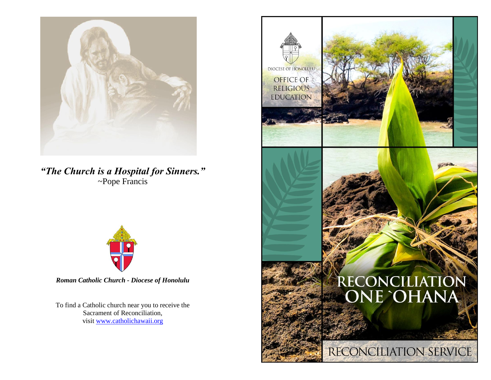

*"The Church is a Hospital for Sinners."* ~Pope Francis



*Roman Catholic Church - Diocese of Honolulu*

To find a Catholic church near you to receive the Sacrament of Reconciliation, visit [www.catholichawaii.org](http://www.catholichawaii.org/)